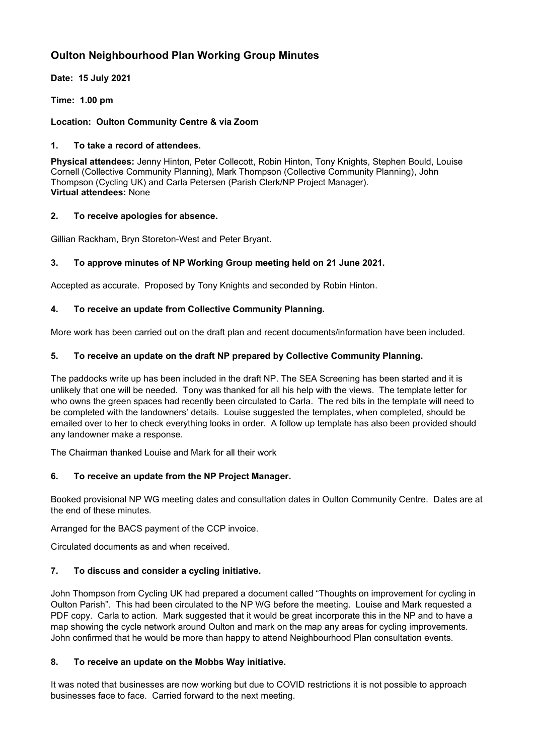# **Oulton Neighbourhood Plan Working Group Minutes**

**Date: 15 July 2021**

**Time: 1.00 pm**

### **Location: Oulton Community Centre & via Zoom**

### **1. To take a record of attendees.**

**Physical attendees:** Jenny Hinton, Peter Collecott, Robin Hinton, Tony Knights, Stephen Bould, Louise Cornell (Collective Community Planning), Mark Thompson (Collective Community Planning), John Thompson (Cycling UK) and Carla Petersen (Parish Clerk/NP Project Manager). **Virtual attendees:** None

### **2. To receive apologies for absence.**

Gillian Rackham, Bryn Storeton-West and Peter Bryant.

# **3. To approve minutes of NP Working Group meeting held on 21 June 2021.**

Accepted as accurate. Proposed by Tony Knights and seconded by Robin Hinton.

### **4. To receive an update from Collective Community Planning.**

More work has been carried out on the draft plan and recent documents/information have been included.

### **5. To receive an update on the draft NP prepared by Collective Community Planning.**

The paddocks write up has been included in the draft NP. The SEA Screening has been started and it is unlikely that one will be needed. Tony was thanked for all his help with the views. The template letter for who owns the green spaces had recently been circulated to Carla. The red bits in the template will need to be completed with the landowners' details. Louise suggested the templates, when completed, should be emailed over to her to check everything looks in order. A follow up template has also been provided should any landowner make a response.

The Chairman thanked Louise and Mark for all their work

# **6. To receive an update from the NP Project Manager.**

Booked provisional NP WG meeting dates and consultation dates in Oulton Community Centre. Dates are at the end of these minutes.

Arranged for the BACS payment of the CCP invoice.

Circulated documents as and when received.

# **7. To discuss and consider a cycling initiative.**

John Thompson from Cycling UK had prepared a document called "Thoughts on improvement for cycling in Oulton Parish". This had been circulated to the NP WG before the meeting. Louise and Mark requested a PDF copy. Carla to action. Mark suggested that it would be great incorporate this in the NP and to have a map showing the cycle network around Oulton and mark on the map any areas for cycling improvements. John confirmed that he would be more than happy to attend Neighbourhood Plan consultation events.

# **8. To receive an update on the Mobbs Way initiative.**

It was noted that businesses are now working but due to COVID restrictions it is not possible to approach businesses face to face. Carried forward to the next meeting.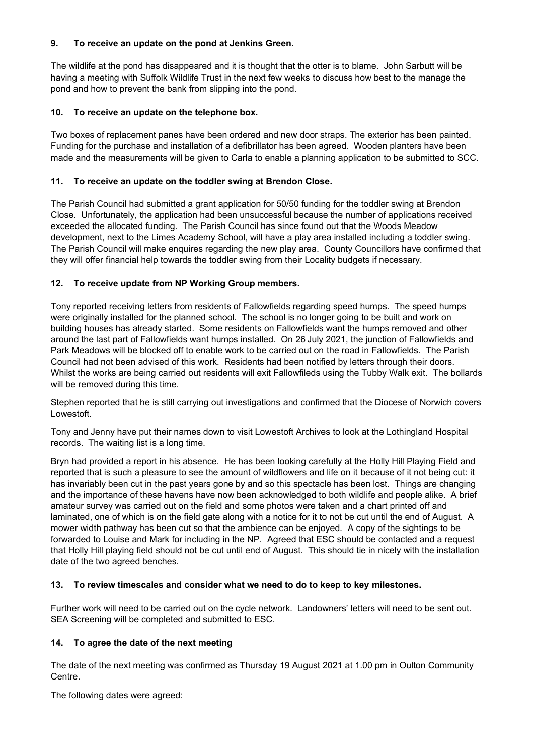### **9. To receive an update on the pond at Jenkins Green.**

The wildlife at the pond has disappeared and it is thought that the otter is to blame. John Sarbutt will be having a meeting with Suffolk Wildlife Trust in the next few weeks to discuss how best to the manage the pond and how to prevent the bank from slipping into the pond.

#### **10. To receive an update on the telephone box.**

Two boxes of replacement panes have been ordered and new door straps. The exterior has been painted. Funding for the purchase and installation of a defibrillator has been agreed. Wooden planters have been made and the measurements will be given to Carla to enable a planning application to be submitted to SCC.

### **11. To receive an update on the toddler swing at Brendon Close.**

The Parish Council had submitted a grant application for 50/50 funding for the toddler swing at Brendon Close. Unfortunately, the application had been unsuccessful because the number of applications received exceeded the allocated funding. The Parish Council has since found out that the Woods Meadow development, next to the Limes Academy School, will have a play area installed including a toddler swing. The Parish Council will make enquires regarding the new play area. County Councillors have confirmed that they will offer financial help towards the toddler swing from their Locality budgets if necessary.

### **12. To receive update from NP Working Group members.**

Tony reported receiving letters from residents of Fallowfields regarding speed humps. The speed humps were originally installed for the planned school. The school is no longer going to be built and work on building houses has already started. Some residents on Fallowfields want the humps removed and other around the last part of Fallowfields want humps installed. On 26July 2021, the junction of Fallowfields and Park Meadows will be blocked off to enable work to be carried out on the road in Fallowfields. The Parish Council had not been advised of this work. Residents had been notified by letters through their doors. Whilst the works are being carried out residents will exit Fallowfileds using the Tubby Walk exit. The bollards will be removed during this time.

Stephen reported that he is still carrying out investigations and confirmed that the Diocese of Norwich covers Lowestoft.

Tony and Jenny have put their names down to visit Lowestoft Archives to look at the Lothingland Hospital records. The waiting list is a long time.

Bryn had provided a report in his absence. He has been looking carefully at the Holly Hill Playing Field and reported that is such a pleasure to see the amount of wildflowers and life on it because of it not being cut: it has invariably been cut in the past years gone by and so this spectacle has been lost. Things are changing and the importance of these havens have now been acknowledged to both wildlife and people alike. A brief amateur survey was carried out on the field and some photos were taken and a chart printed off and laminated, one of which is on the field gate along with a notice for it to not be cut until the end of August. A mower width pathway has been cut so that the ambience can be enjoyed. A copy of the sightings to be forwarded to Louise and Mark for including in the NP. Agreed that ESC should be contacted and a request that Holly Hill playing field should not be cut until end of August. This should tie in nicely with the installation date of the two agreed benches.

#### **13. To review timescales and consider what we need to do to keep to key milestones.**

Further work will need to be carried out on the cycle network. Landowners' letters will need to be sent out. SEA Screening will be completed and submitted to ESC.

#### **14. To agree the date of the next meeting**

The date of the next meeting was confirmed as Thursday 19 August 2021 at 1.00 pm in Oulton Community Centre.

The following dates were agreed: